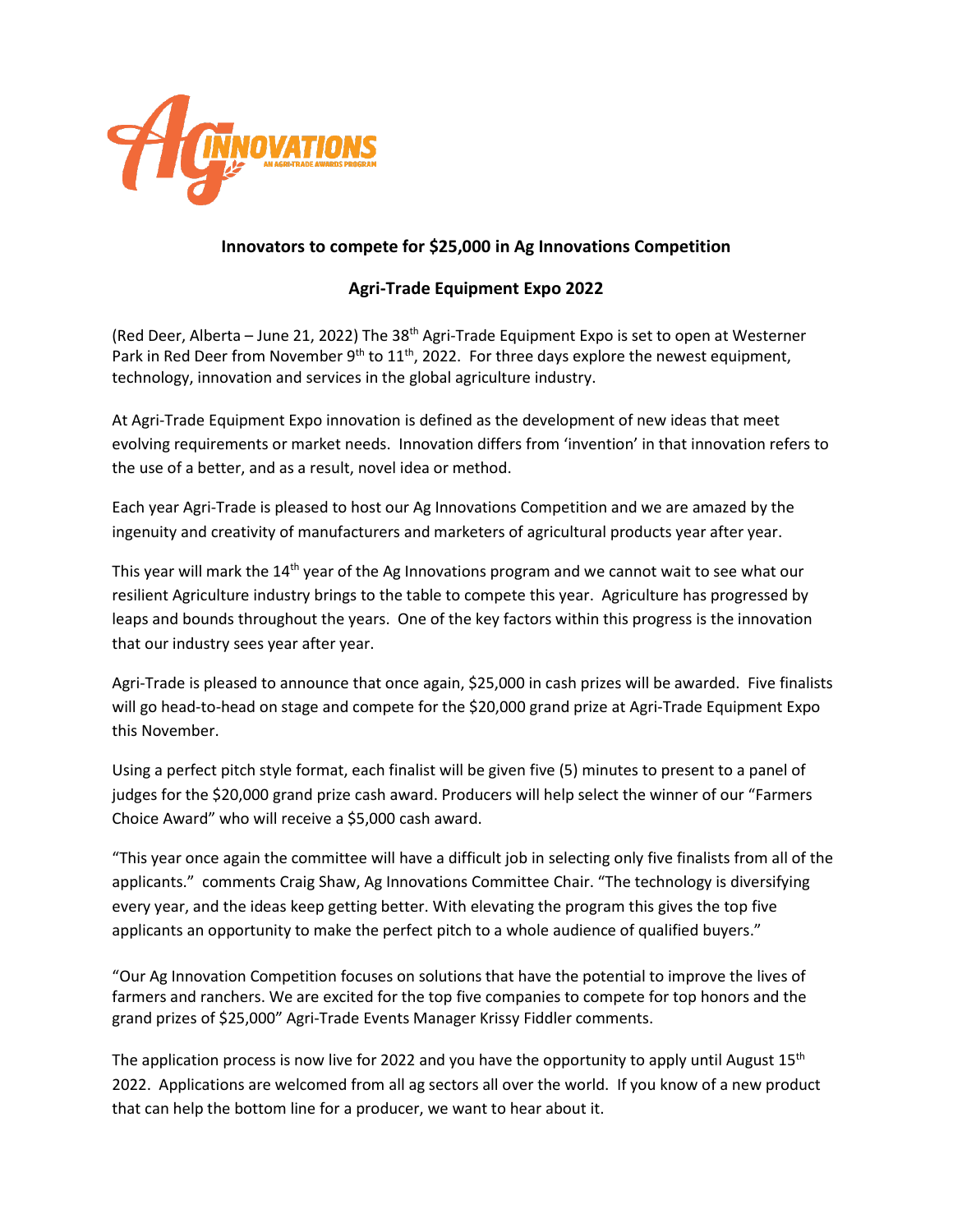

## **Innovators to compete for \$25,000 in Ag Innovations Competition**

## **Agri-Trade Equipment Expo 2022**

(Red Deer, Alberta – June 21, 2022) The 38<sup>th</sup> Agri-Trade Equipment Expo is set to open at Westerner Park in Red Deer from November 9<sup>th</sup> to 11<sup>th</sup>, 2022. For three days explore the newest equipment, technology, innovation and services in the global agriculture industry.

At Agri-Trade Equipment Expo innovation is defined as the development of new ideas that meet evolving requirements or market needs. Innovation differs from 'invention' in that innovation refers to the use of a better, and as a result, novel idea or method.

Each year Agri-Trade is pleased to host our Ag Innovations Competition and we are amazed by the ingenuity and creativity of manufacturers and marketers of agricultural products year after year.

This year will mark the 14<sup>th</sup> year of the Ag Innovations program and we cannot wait to see what our resilient Agriculture industry brings to the table to compete this year. Agriculture has progressed by leaps and bounds throughout the years. One of the key factors within this progress is the innovation that our industry sees year after year.

Agri-Trade is pleased to announce that once again, \$25,000 in cash prizes will be awarded. Five finalists will go head-to-head on stage and compete for the \$20,000 grand prize at Agri-Trade Equipment Expo this November.

Using a perfect pitch style format, each finalist will be given five (5) minutes to present to a panel of judges for the \$20,000 grand prize cash award. Producers will help select the winner of our "Farmers Choice Award" who will receive a \$5,000 cash award.

"This year once again the committee will have a difficult job in selecting only five finalists from all of the applicants." comments Craig Shaw, Ag Innovations Committee Chair. "The technology is diversifying every year, and the ideas keep getting better. With elevating the program this gives the top five applicants an opportunity to make the perfect pitch to a whole audience of qualified buyers."

"Our Ag Innovation Competition focuses on solutions that have the potential to improve the lives of farmers and ranchers. We are excited for the top five companies to compete for top honors and the grand prizes of \$25,000" Agri-Trade Events Manager Krissy Fiddler comments.

The application process is now live for 2022 and you have the opportunity to apply until August  $15<sup>th</sup>$ 2022. Applications are welcomed from all ag sectors all over the world. If you know of a new product that can help the bottom line for a producer, we want to hear about it.